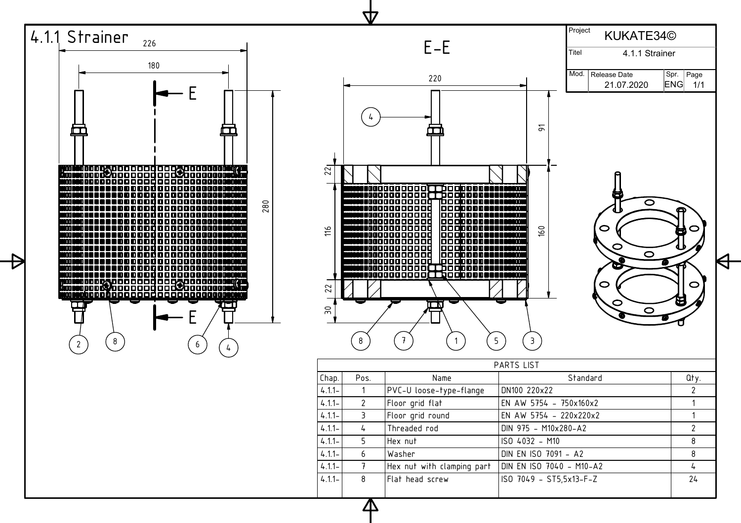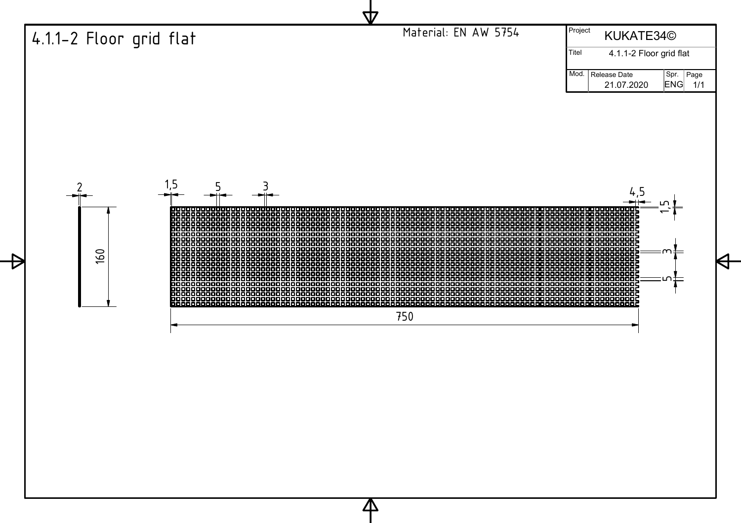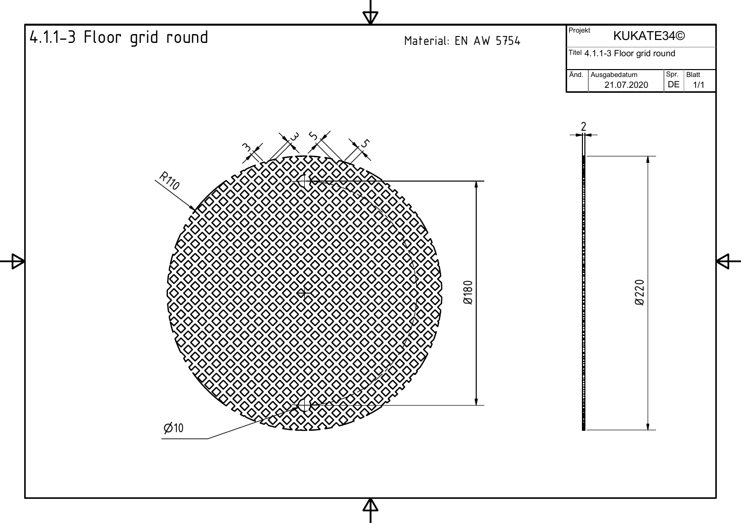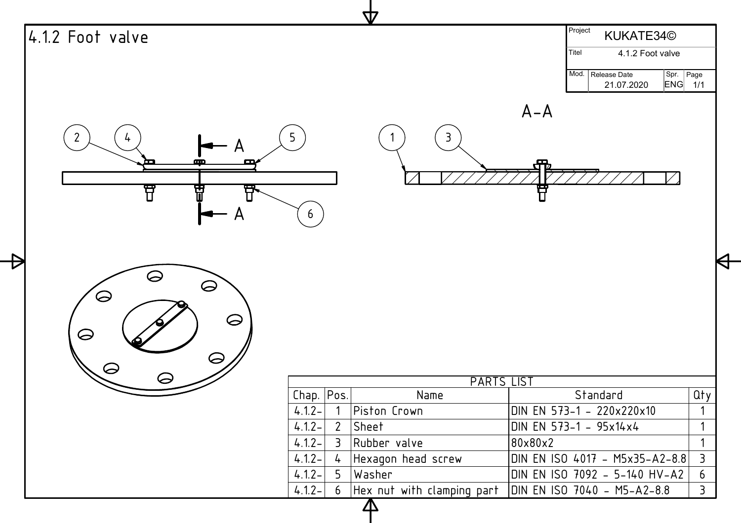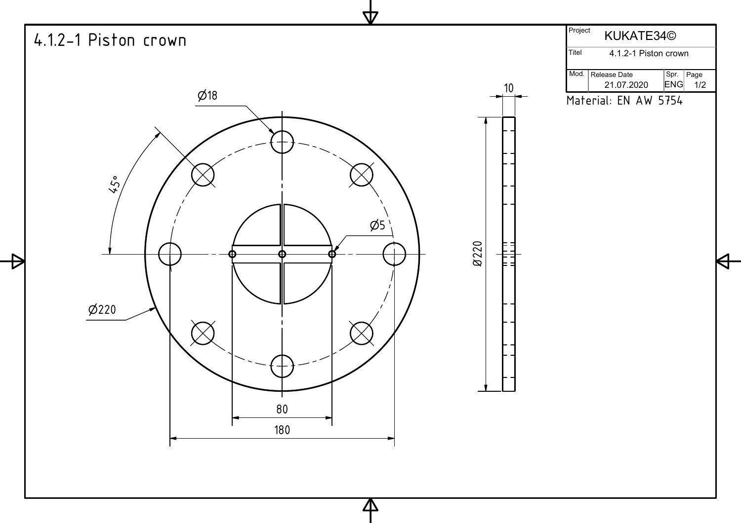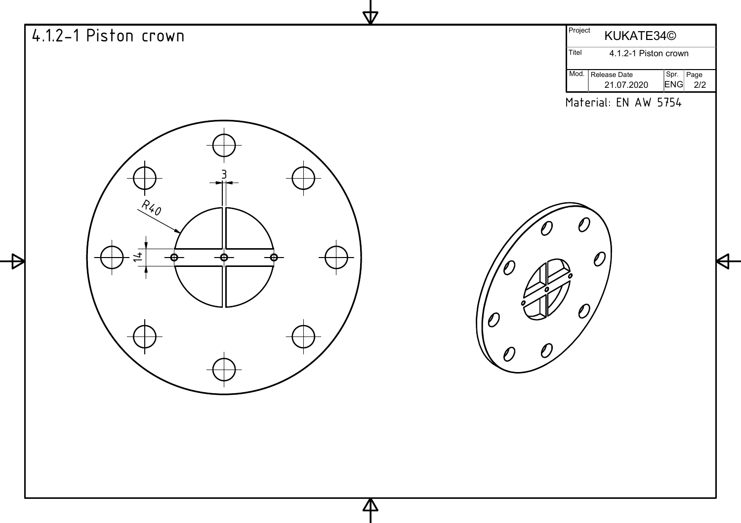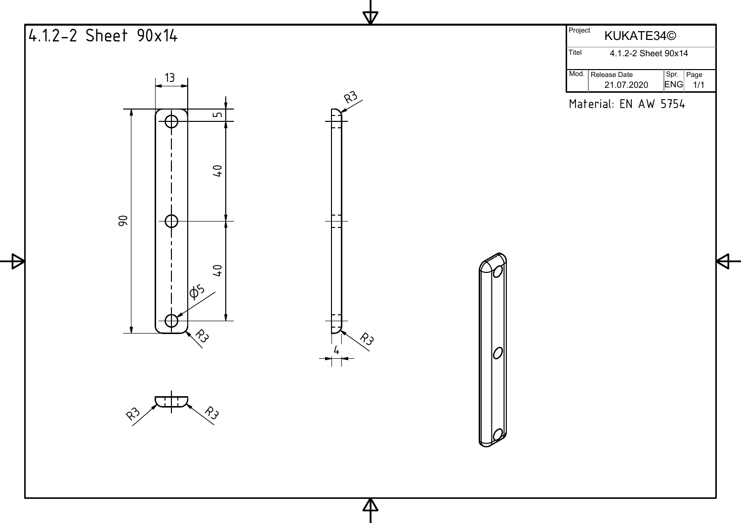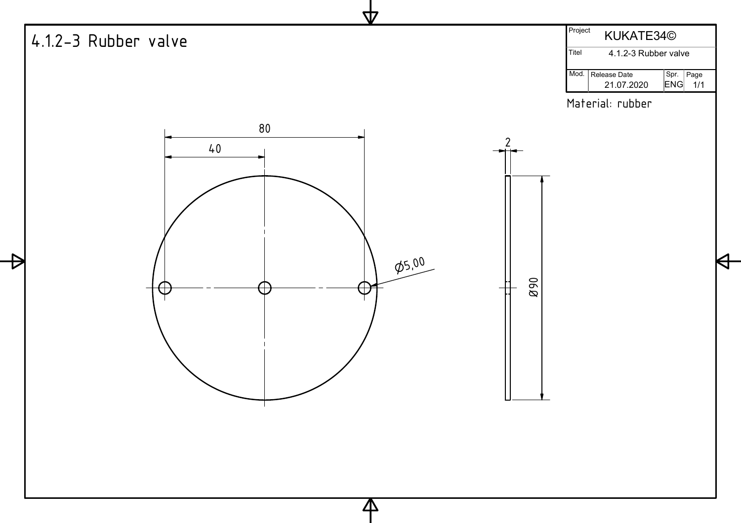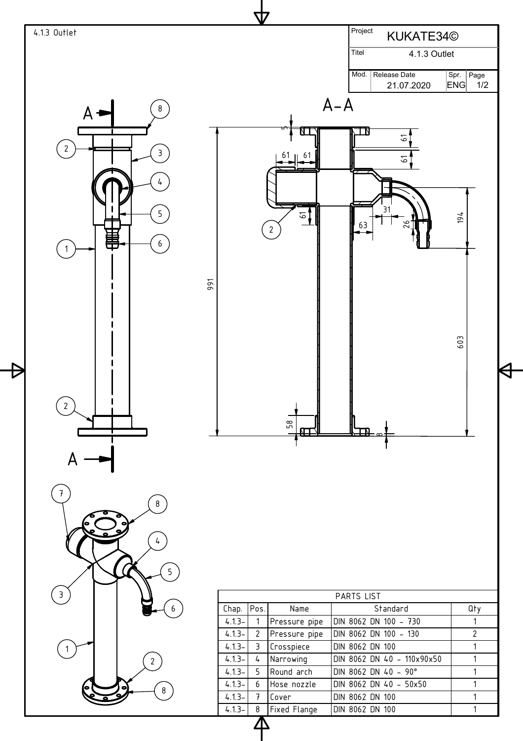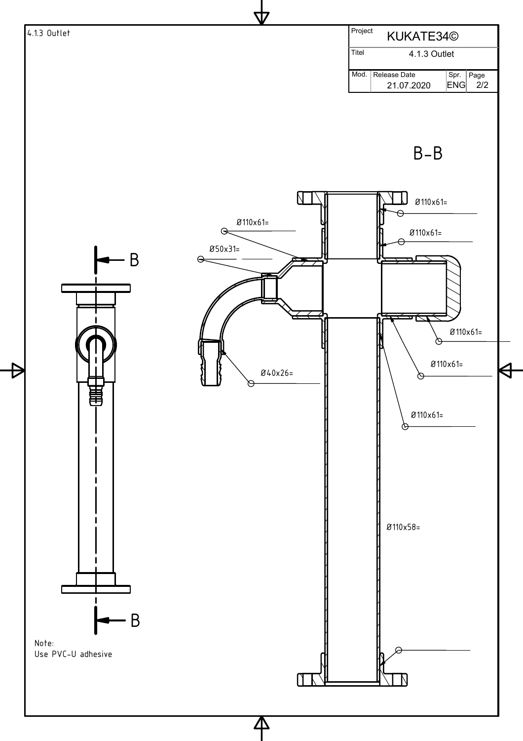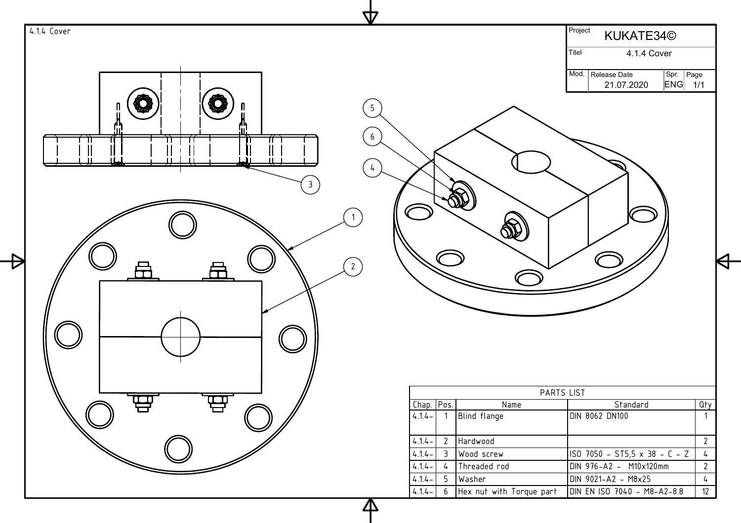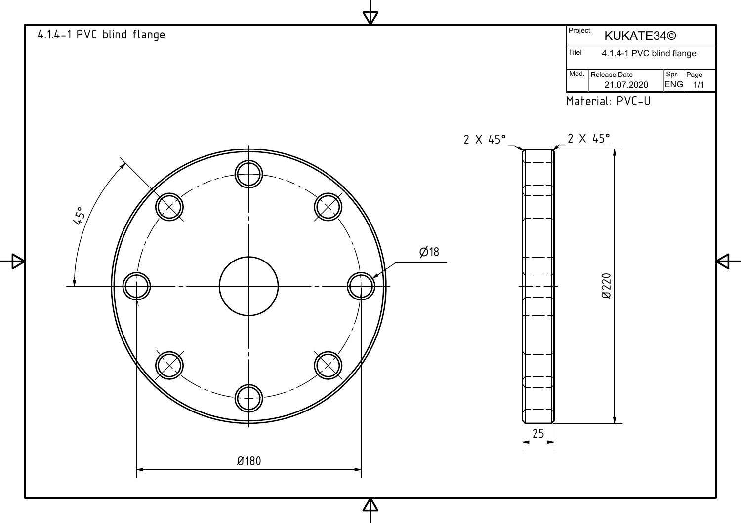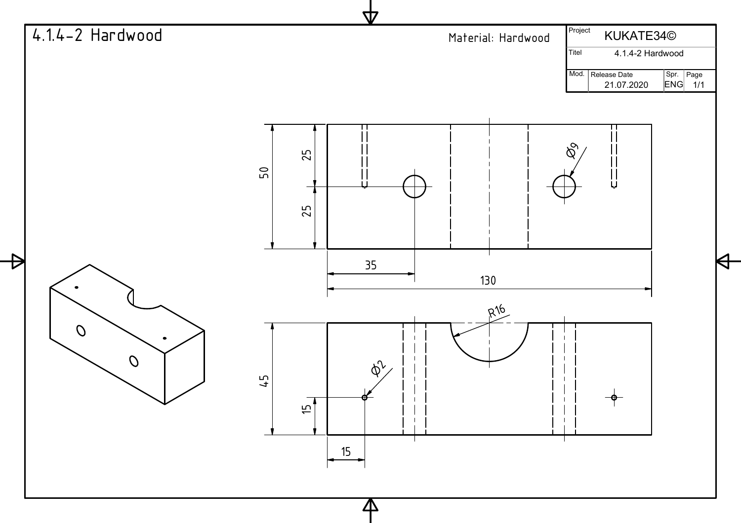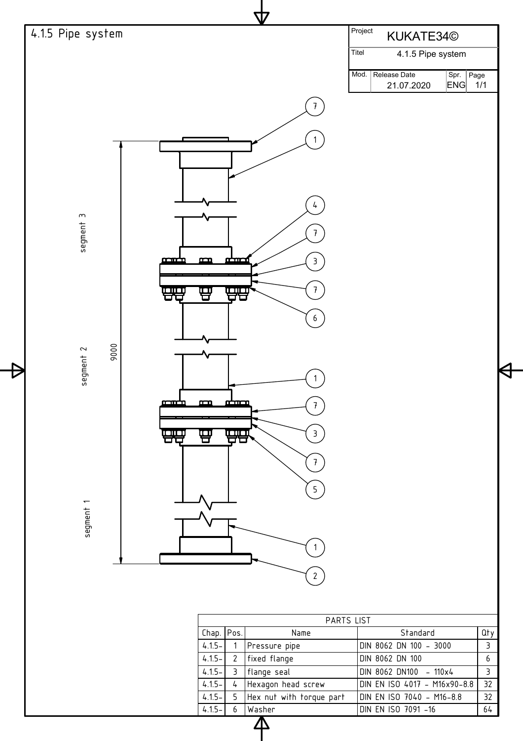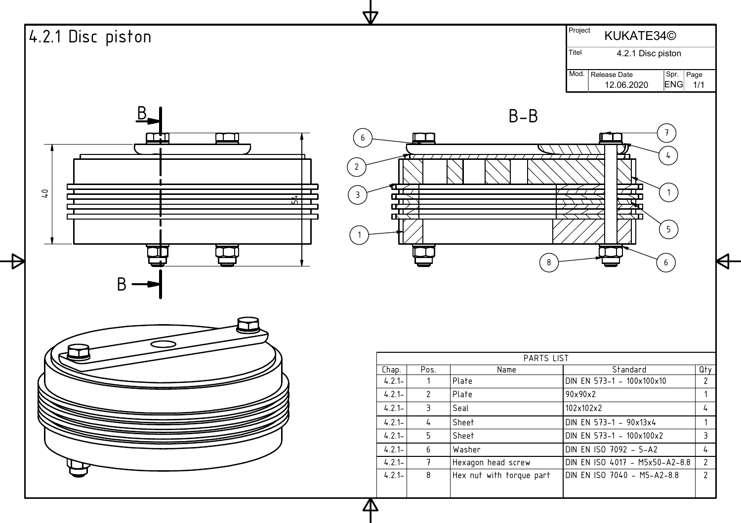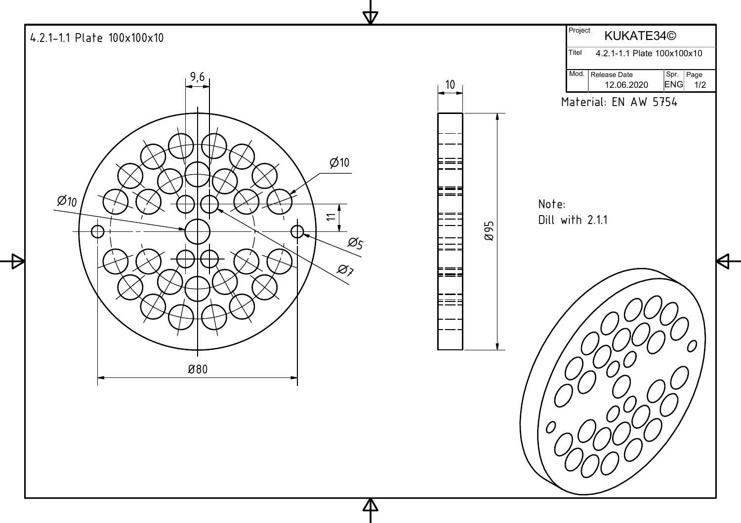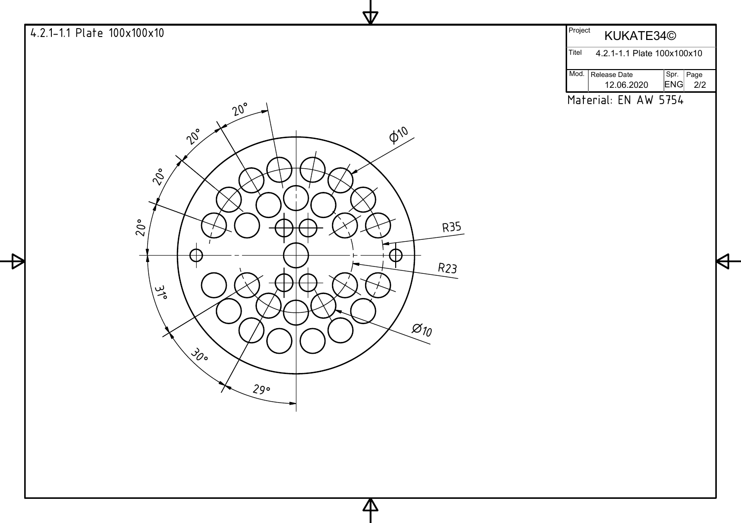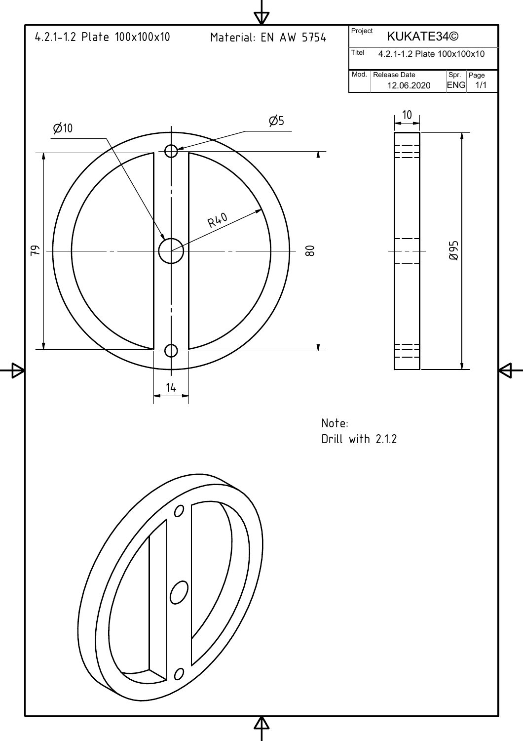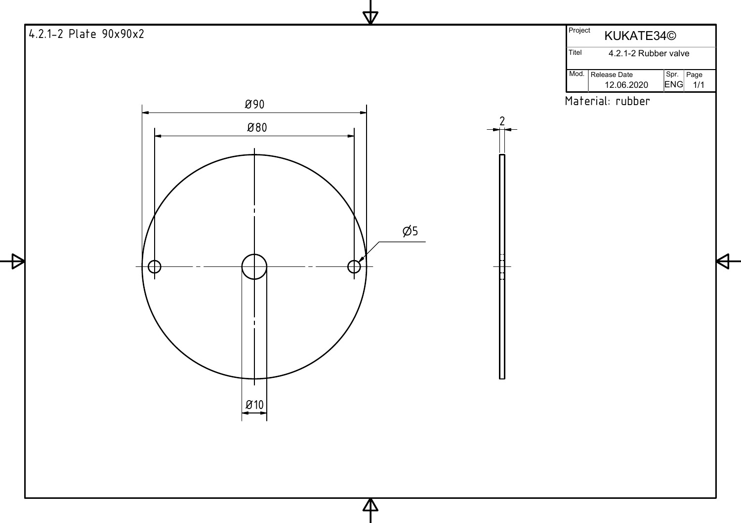![](_page_18_Figure_0.jpeg)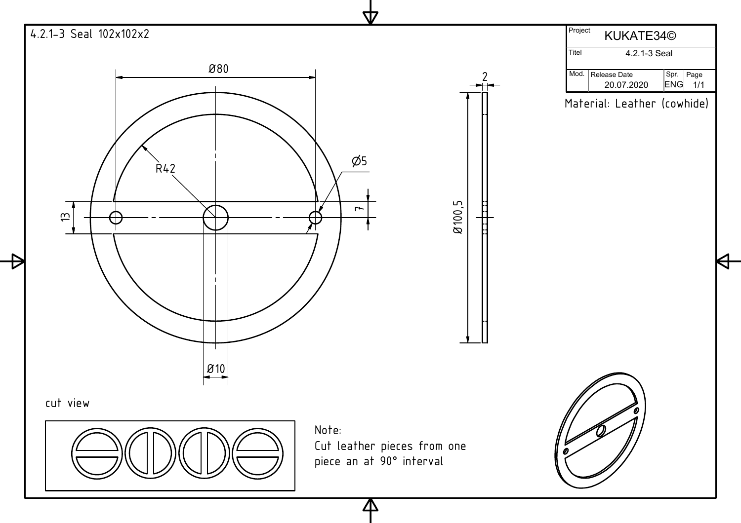![](_page_19_Figure_0.jpeg)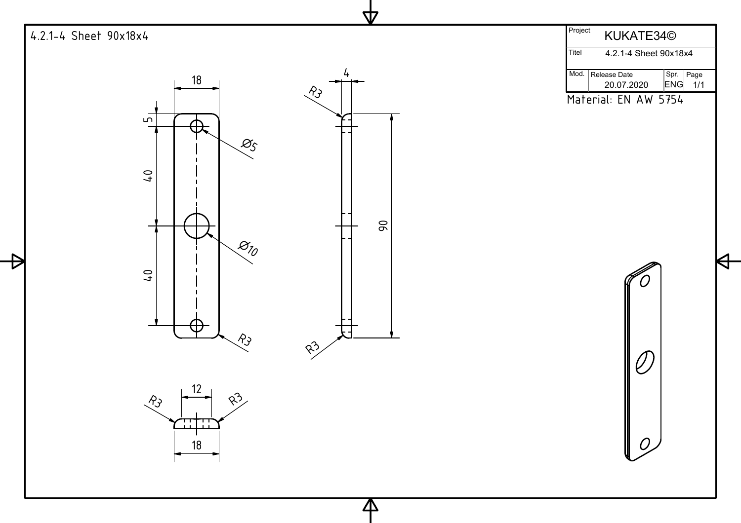![](_page_20_Figure_0.jpeg)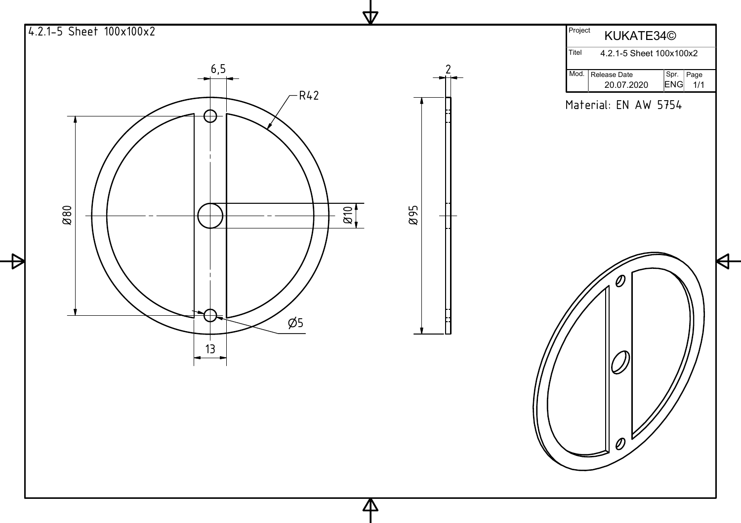![](_page_21_Figure_0.jpeg)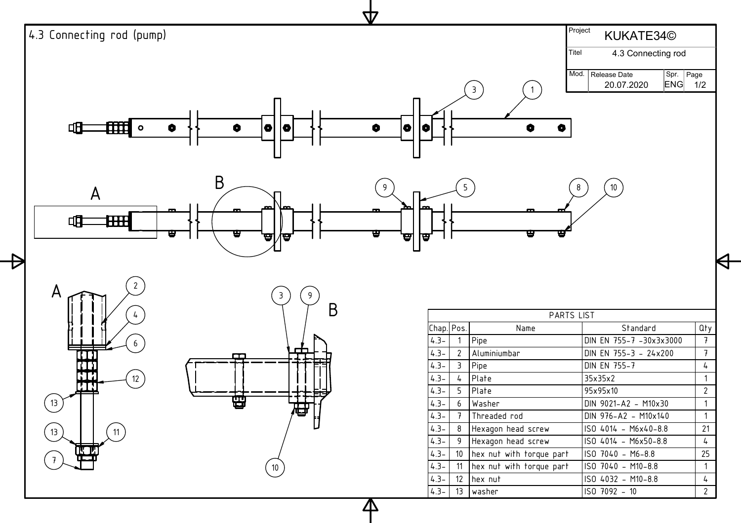![](_page_22_Figure_0.jpeg)

<u>Л\</u>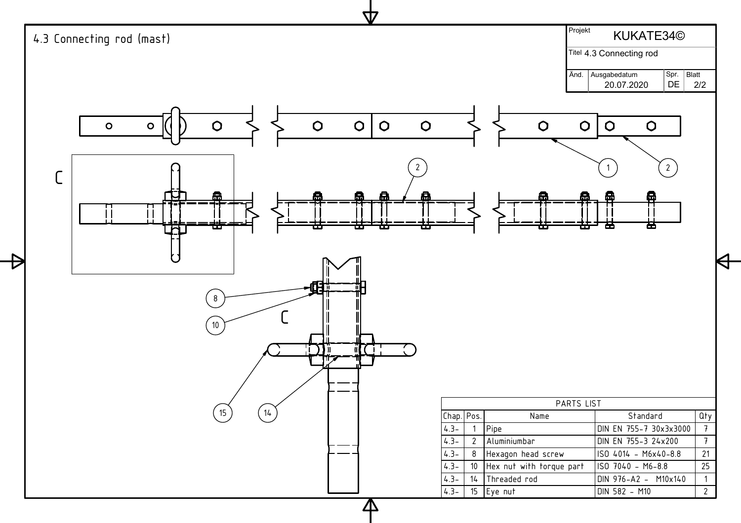![](_page_23_Figure_0.jpeg)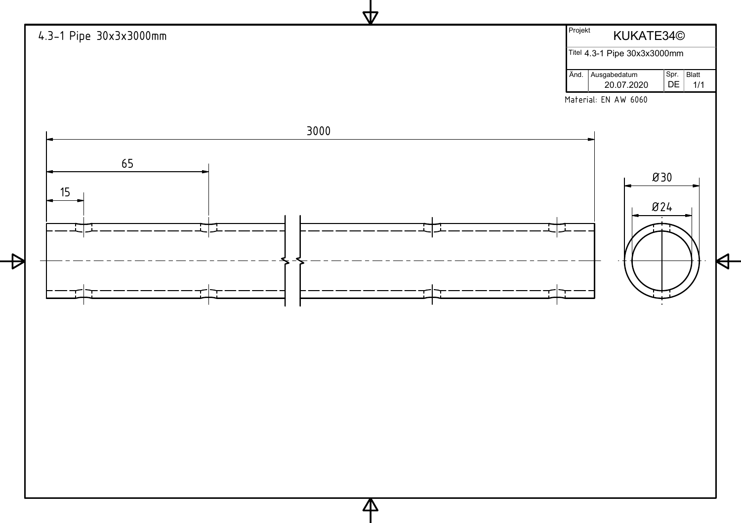![](_page_24_Figure_0.jpeg)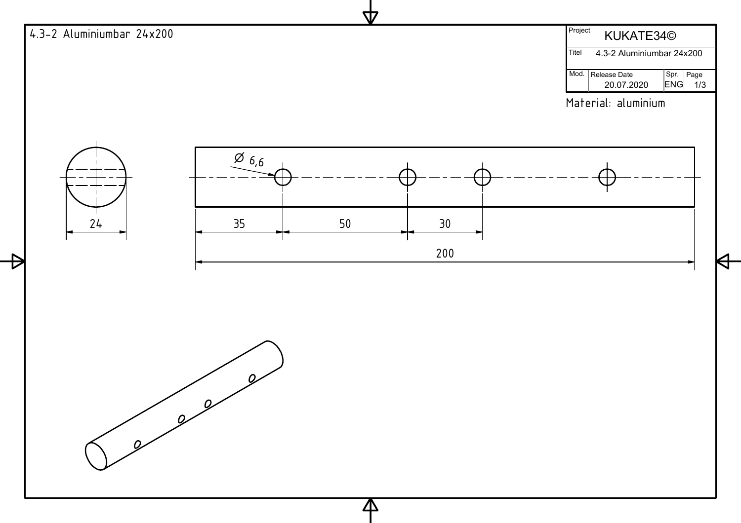![](_page_25_Figure_0.jpeg)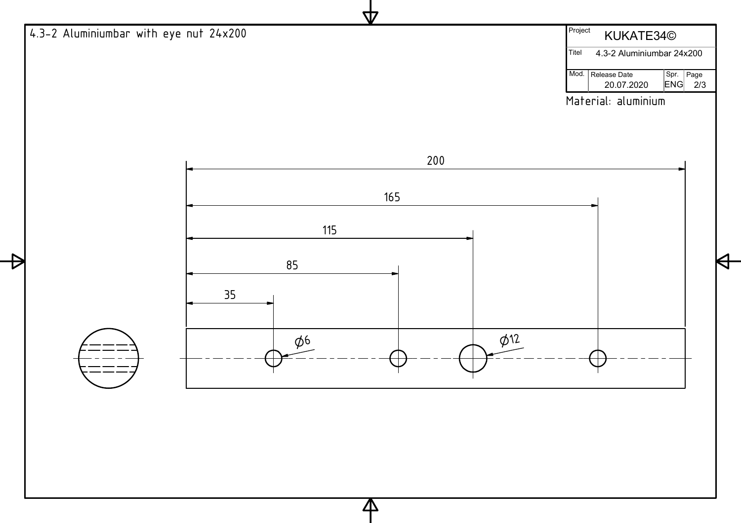![](_page_26_Figure_0.jpeg)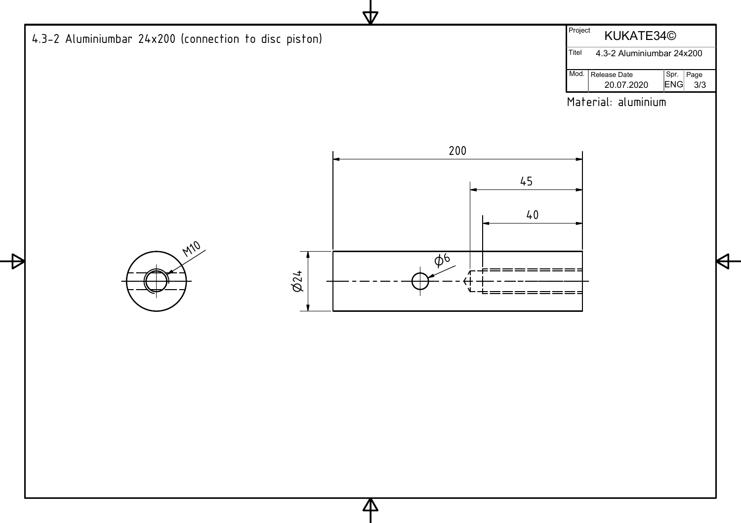![](_page_27_Figure_0.jpeg)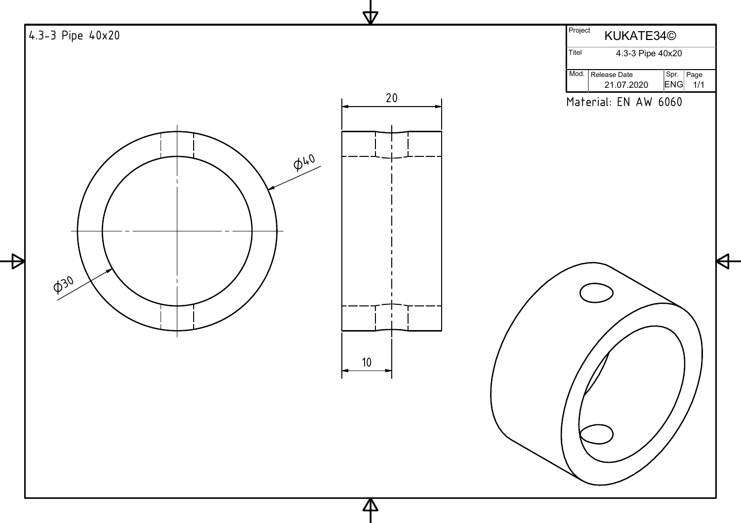![](_page_28_Figure_0.jpeg)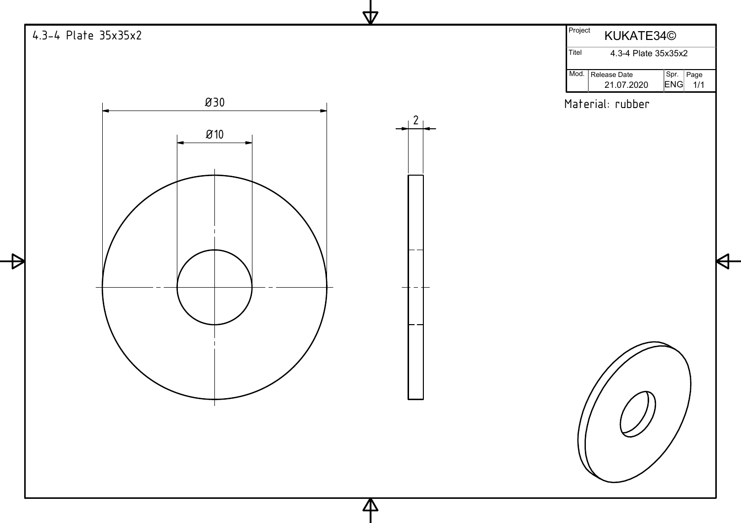![](_page_29_Figure_0.jpeg)